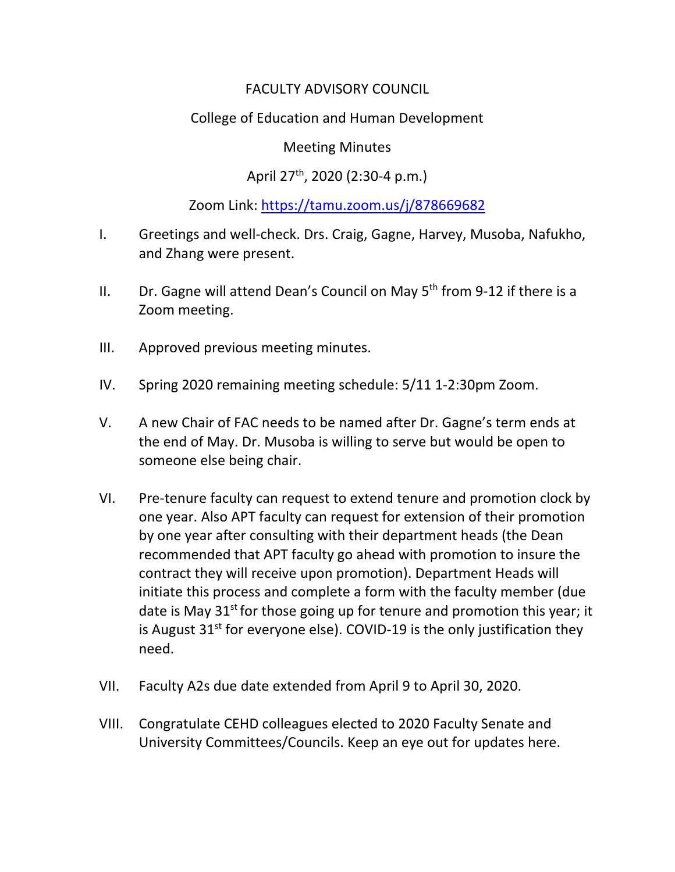# FACULTY ADVISORY COUNCIL

# College of Education and Human Development

### Meeting Minutes

# April 27<sup>th</sup>, 2020 (2:30-4 p.m.)

## Zoom Link:<https://tamu.zoom.us/j/878669682>

- I. Greetings and well-check. Drs. Craig, Gagne, Harvey, Musoba, Nafukho, and Zhang were present.
- II. Dr. Gagne will attend Dean's Council on May  $5<sup>th</sup>$  from 9-12 if there is a Zoom meeting.
- III. Approved previous meeting minutes.
- IV. Spring 2020 remaining meeting schedule: 5/11 1-2:30pm Zoom.
- V. A new Chair of FAC needs to be named after Dr. Gagne's term ends at the end of May. Dr. Musoba is willing to serve but would be open to someone else being chair.
- VI. Pre-tenure faculty can request to extend tenure and promotion clock by one year. Also APT faculty can request for extension of their promotion by one year after consulting with their department heads (the Dean recommended that APT faculty go ahead with promotion to insure the contract they will receive upon promotion). Department Heads will initiate this process and complete a form with the faculty member (due date is May  $31^{st}$  for those going up for tenure and promotion this year; it is August  $31<sup>st</sup>$  for everyone else). COVID-19 is the only justification they need.
- VII. Faculty A2s due date extended from April 9 to April 30, 2020.
- VIII. Congratulate CEHD colleagues elected to 2020 Faculty Senate and University Committees/Councils. Keep an eye out for updates here.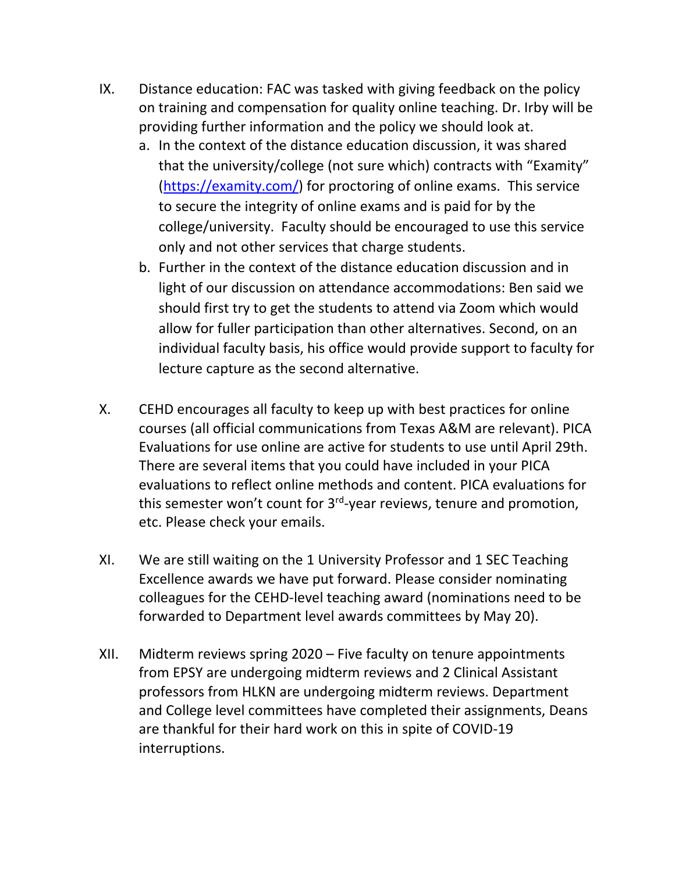- IX. Distance education: FAC was tasked with giving feedback on the policy on training and compensation for quality online teaching. Dr. Irby will be providing further information and the policy we should look at.
	- a. In the context of the distance education discussion, it was shared that the university/college (not sure which) contracts with "Examity" [\(https://examity.com/\)](https://examity.com/) for proctoring of online exams. This service to secure the integrity of online exams and is paid for by the college/university. Faculty should be encouraged to use this service only and not other services that charge students.
	- b. Further in the context of the distance education discussion and in light of our discussion on attendance accommodations: Ben said we should first try to get the students to attend via Zoom which would allow for fuller participation than other alternatives. Second, on an individual faculty basis, his office would provide support to faculty for lecture capture as the second alternative.
- X. CEHD encourages all faculty to keep up with best practices for online courses (all official communications from Texas A&M are relevant). PICA Evaluations for use online are active for students to use until April 29th. There are several items that you could have included in your PICA evaluations to reflect online methods and content. PICA evaluations for this semester won't count for 3<sup>rd</sup>-year reviews, tenure and promotion, etc. Please check your emails.
- XI. We are still waiting on the 1 University Professor and 1 SEC Teaching Excellence awards we have put forward. Please consider nominating colleagues for the CEHD-level teaching award (nominations need to be forwarded to Department level awards committees by May 20).
- XII. Midterm reviews spring 2020 Five faculty on tenure appointments from EPSY are undergoing midterm reviews and 2 Clinical Assistant professors from HLKN are undergoing midterm reviews. Department and College level committees have completed their assignments, Deans are thankful for their hard work on this in spite of COVID-19 interruptions.